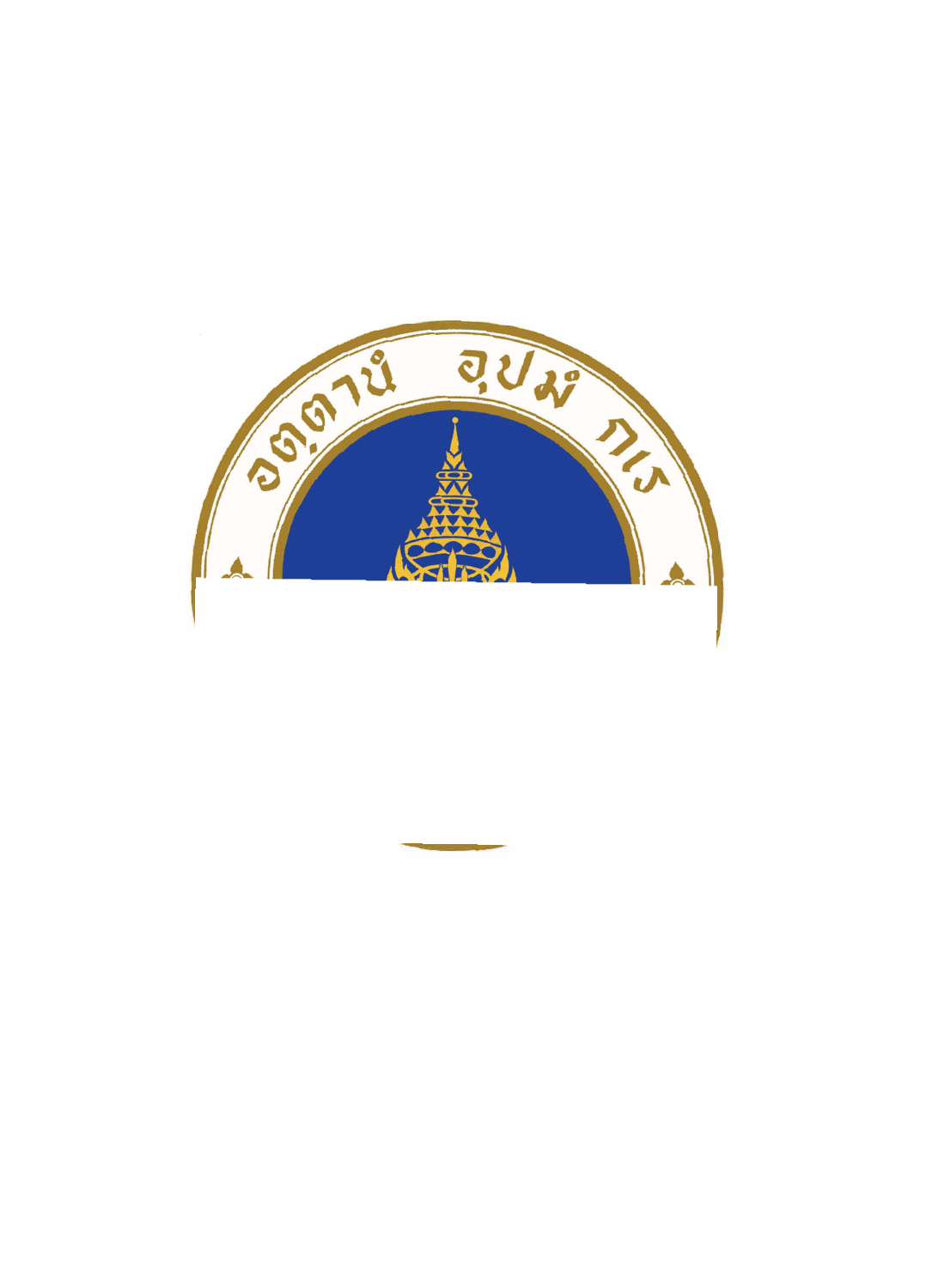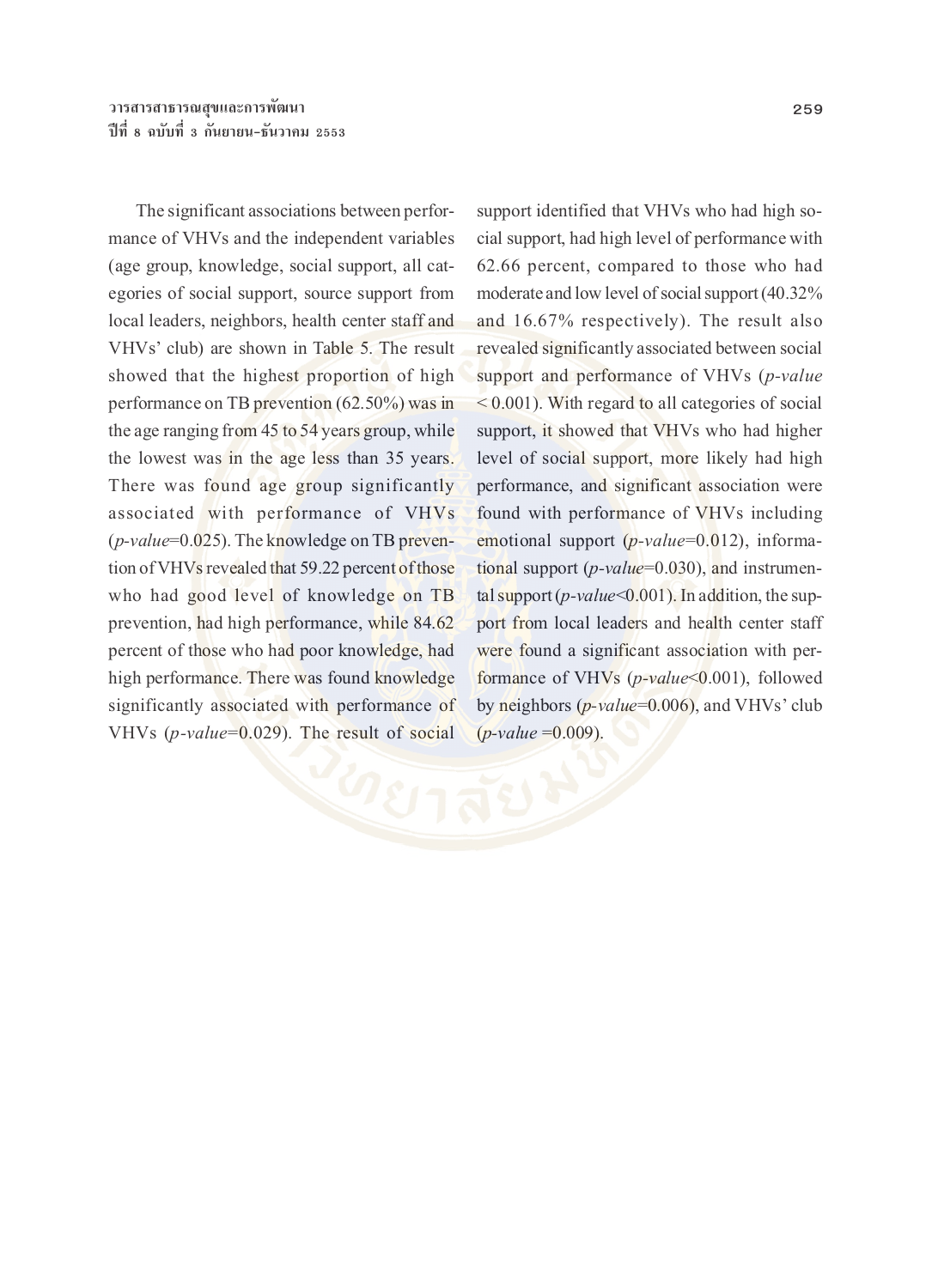The significant associations between performance of VHVs and the independent variables (age group, knowledge, social support, all categories of social support, source support from local leaders, neighbors, health center staff and VHVs' club) are shown in Table 5. The result showed that the highest proportion of high performance on TB prevention (62.50%) was in the age ranging from 45 to 54 years group, while the lowest was in the age less than 35 years. There was found age group significantly associated with performance of VHVs (*p-value*=0.025). The knowledge on TB prevention of VHVs revealed that 59.22 percent of those who had good level of knowledge on TB prevention, had high performance, while 84.62 percent of those who had poor knowledge, had high performance. There was found knowledge significantly associated with performance of VHVs (*p-value*=0.029). The result of social

support identified that VHVs who had high social support, had high level of performance with 62.66 percent, compared to those who had moderate and low level of social support (40.32% and 16.67% respectively). The result also revealed significantly associated between social support and performance of VHVs (*p-value* < 0.001). With regard to all categories of social support, it showed that VHVs who had higher level of social support, more likely had high performance, and significant association were found with performance of VHVs including emotional support (*p-value*=0.012), informational support (*p-value*=0.030), and instrumental support (*p-value*<0.001). In addition, the support from local leaders and health center staff were found a significant association with performance of VHVs (*p-value*<0.001), followed by neighbors (*p-value*=0.006), and VHVs' club (*p-value* =0.009).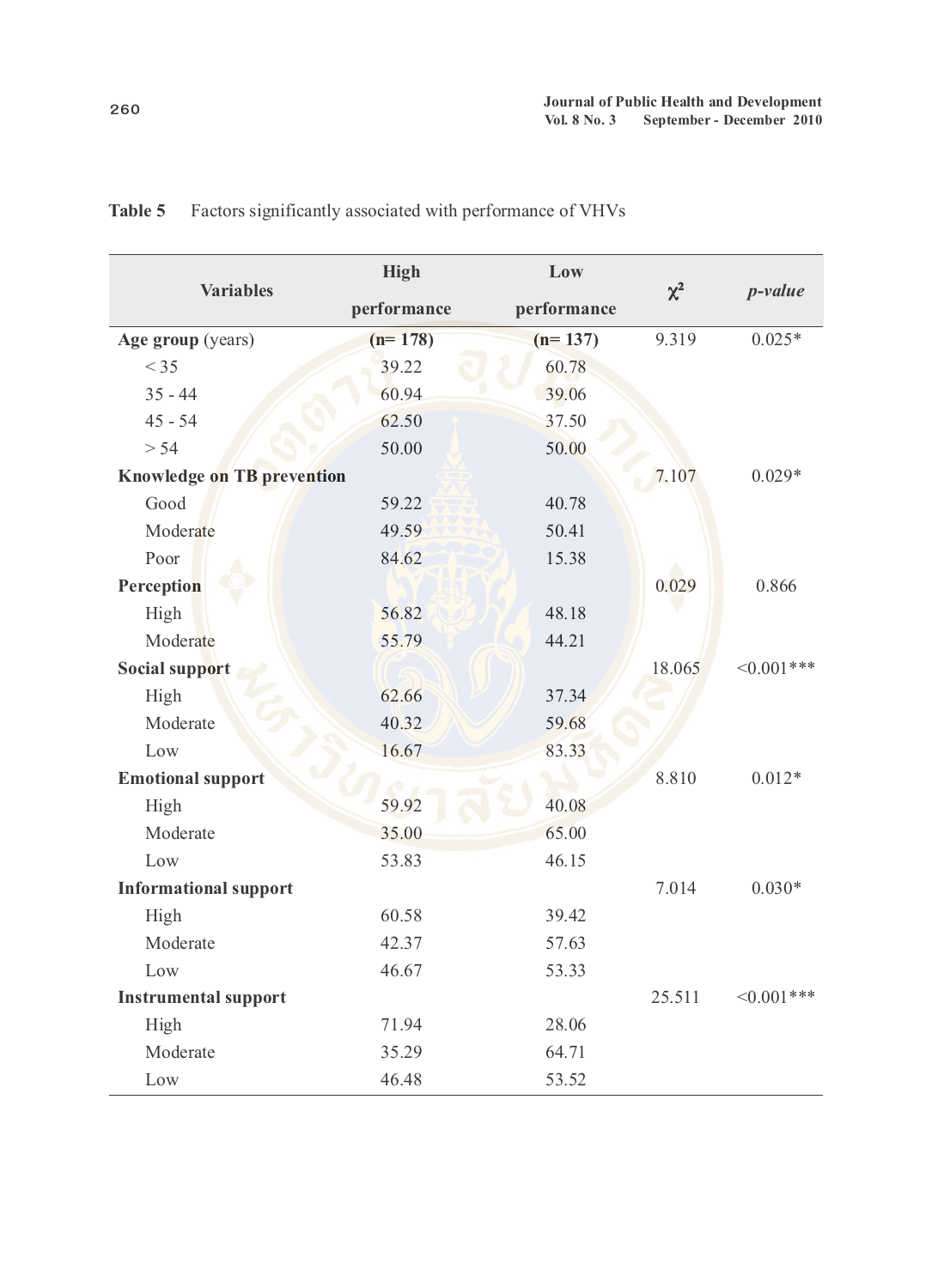| <b>Variables</b>                  | <b>High</b><br>Low |             |          |             |
|-----------------------------------|--------------------|-------------|----------|-------------|
|                                   | performance        | performance | $\chi^2$ | $p$ -value  |
| Age group (years)                 | $(n=178)$          | $(n=137)$   | 9.319    | $0.025*$    |
| $<$ 35                            | 39.22              | 60.78       |          |             |
| $35 - 44$                         | 60.94              | 39.06       |          |             |
| $45 - 54$                         | 62.50              | 37.50       |          |             |
| $> 54$                            | 50.00              | 50.00       |          |             |
| <b>Knowledge on TB prevention</b> |                    |             | 7.107    | $0.029*$    |
| Good                              | 59.22              | 40.78       |          |             |
| Moderate                          | 49.59              | 50.41       |          |             |
| Poor                              | 84.62              | 15.38       |          |             |
| Perception                        |                    |             | 0.029    | 0.866       |
| High                              | 56.82              | 48.18       |          |             |
| Moderate                          | 55.79              | 44.21       |          |             |
| <b>Social support</b>             |                    |             | 18.065   | $<0.001***$ |
| High                              | 62.66              | 37.34       |          |             |
| Moderate                          | 40.32              | 59.68       |          |             |
| Low                               | 16.67              | 83.33       |          |             |
| <b>Emotional support</b>          |                    |             | 8.810    | $0.012*$    |
| High                              | 59.92              | 40.08       |          |             |
| Moderate                          | 35.00              | 65.00       |          |             |
| Low                               | 53.83              | 46.15       |          |             |
| <b>Informational support</b>      |                    |             | 7.014    | $0.030*$    |
| High                              | 60.58              | 39.42       |          |             |
| Moderate                          | 42.37              | 57.63       |          |             |
| Low                               | 46.67              | 53.33       |          |             |
| <b>Instrumental support</b>       |                    |             | 25.511   | $<0.001***$ |
| High                              | 71.94              | 28.06       |          |             |
| Moderate                          | 35.29              | 64.71       |          |             |
| Low                               | 46.48              | 53.52       |          |             |

**Table 5** Factors significantly associated with performance of VHVs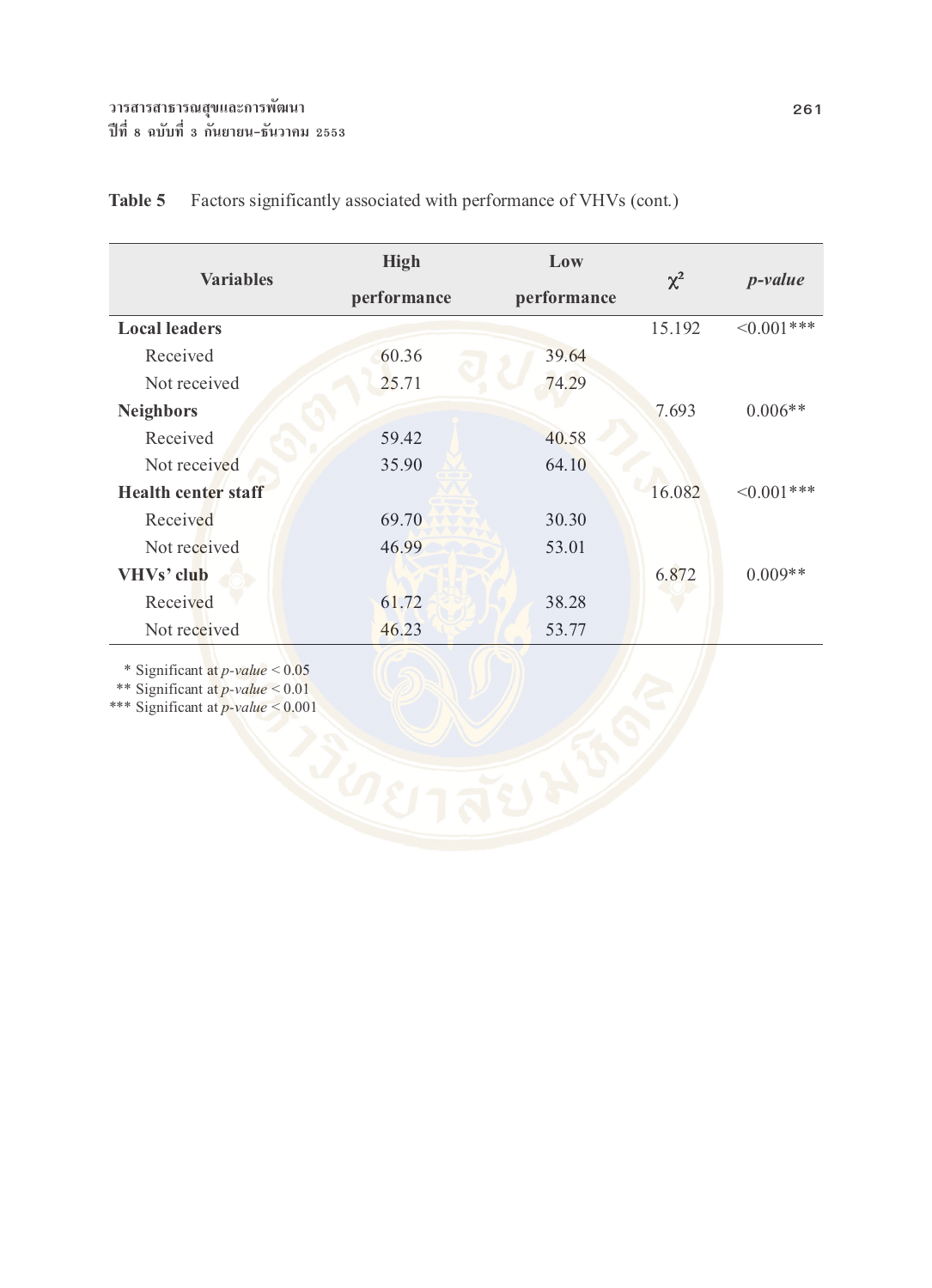| <b>Variables</b>           | <b>High</b> | Low         | $\chi^2$ |                  |
|----------------------------|-------------|-------------|----------|------------------|
|                            | performance | performance |          | $p$ -value       |
| <b>Local leaders</b>       |             |             | 15.192   | $\leq 0.001$ *** |
| Received                   | 60.36       | 39.64       |          |                  |
| Not received               | 25.71       | 74.29       |          |                  |
| <b>Neighbors</b>           |             |             | 7.693    | $0.006**$        |
| Received                   | 59.42       | 40.58       |          |                  |
| Not received               | 35.90       | 64.10       |          |                  |
| <b>Health center staff</b> |             |             | 16.082   | $\leq 0.001$ *** |
| Received                   | 69.70       | 30.30       |          |                  |
| Not received               | 46.99       | 53.01       |          |                  |
| VHVs' club                 |             |             | 6.872    | $0.009**$        |
| Received                   | 61.72       | 38.28       |          |                  |
| Not received               | 46.23       | 53.77       |          |                  |

# Table 5 Factors significantly associated with performance of VHVs (cont.)

\* Significant at *p-value* < 0.05

\*\* Significant at *p-value* < 0.01

\*\*\* Significant at *p-value* < 0.001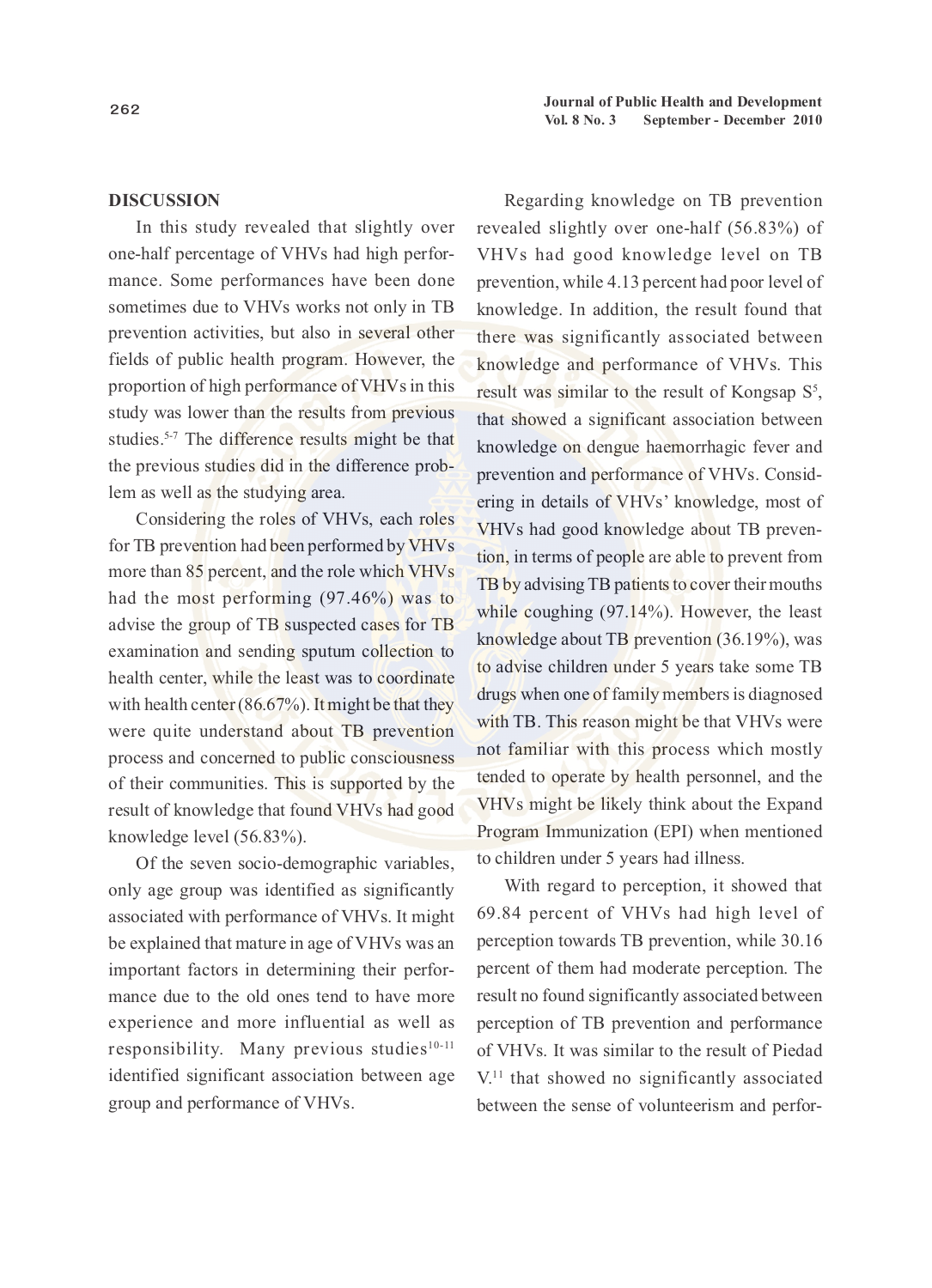#### **DISCUSSION**

In this study revealed that slightly over one-half percentage of VHVs had high performance. Some performances have been done sometimes due to VHVs works not only in TB prevention activities, but also in several other fields of public health program. However, the proportion of high performance of VHVs in this study was lower than the results from previous studies.<sup>5-7</sup> The difference results might be that the previous studies did in the difference problem as well as the studying area.

Considering the roles of VHVs, each roles for TB prevention had been performed by VHVs more than 85 percent, and the role which VHVs had the most performing (97.46%) was to advise the group of TB suspected cases for TB examination and sending sputum collection to health center, while the least was to coordinate with health center (86.67%). It might be that they were quite understand about TB prevention process and concerned to public consciousness of their communities. This is supported by the result of knowledge that found VHVs had good knowledge level (56.83%).

Of the seven socio-demographic variables, only age group was identified as significantly associated with performance of VHVs. It might be explained that mature in age of VHVs was an important factors in determining their performance due to the old ones tend to have more experience and more influential as well as responsibility. Many previous studies<sup>10-11</sup> identified significant association between age group and performance of VHVs.

Regarding knowledge on TB prevention revealed slightly over one-half (56.83%) of VHVs had good knowledge level on TB prevention, while 4.13 percent had poor level of knowledge. In addition, the result found that there was significantly associated between knowledge and performance of VHVs. This result was similar to the result of Kongsap  $S^5$ , that showed a significant association between knowledge on dengue haemorrhagic fever and prevention and performance of VHVs. Considering in details of VHVs' knowledge, most of VHVs had good knowledge about TB prevention, in terms of people are able to prevent from TB by advising TB patients to cover their mouths while coughing (97.14%). However, the least knowledge about TB prevention (36.19%), was to advise children under 5 years take some TB drugs when one of family members is diagnosed with TB. This reason might be that VHVs were not familiar with this process which mostly tended to operate by health personnel, and the VHVs might be likely think about the Expand Program Immunization (EPI) when mentioned to children under 5 years had illness.

With regard to perception, it showed that 69.84 percent of VHVs had high level of perception towards TB prevention, while 30.16 percent of them had moderate perception. The result no found significantly associated between perception of TB prevention and performance of VHVs. It was similar to the result of Piedad V.11 that showed no significantly associated between the sense of volunteerism and perfor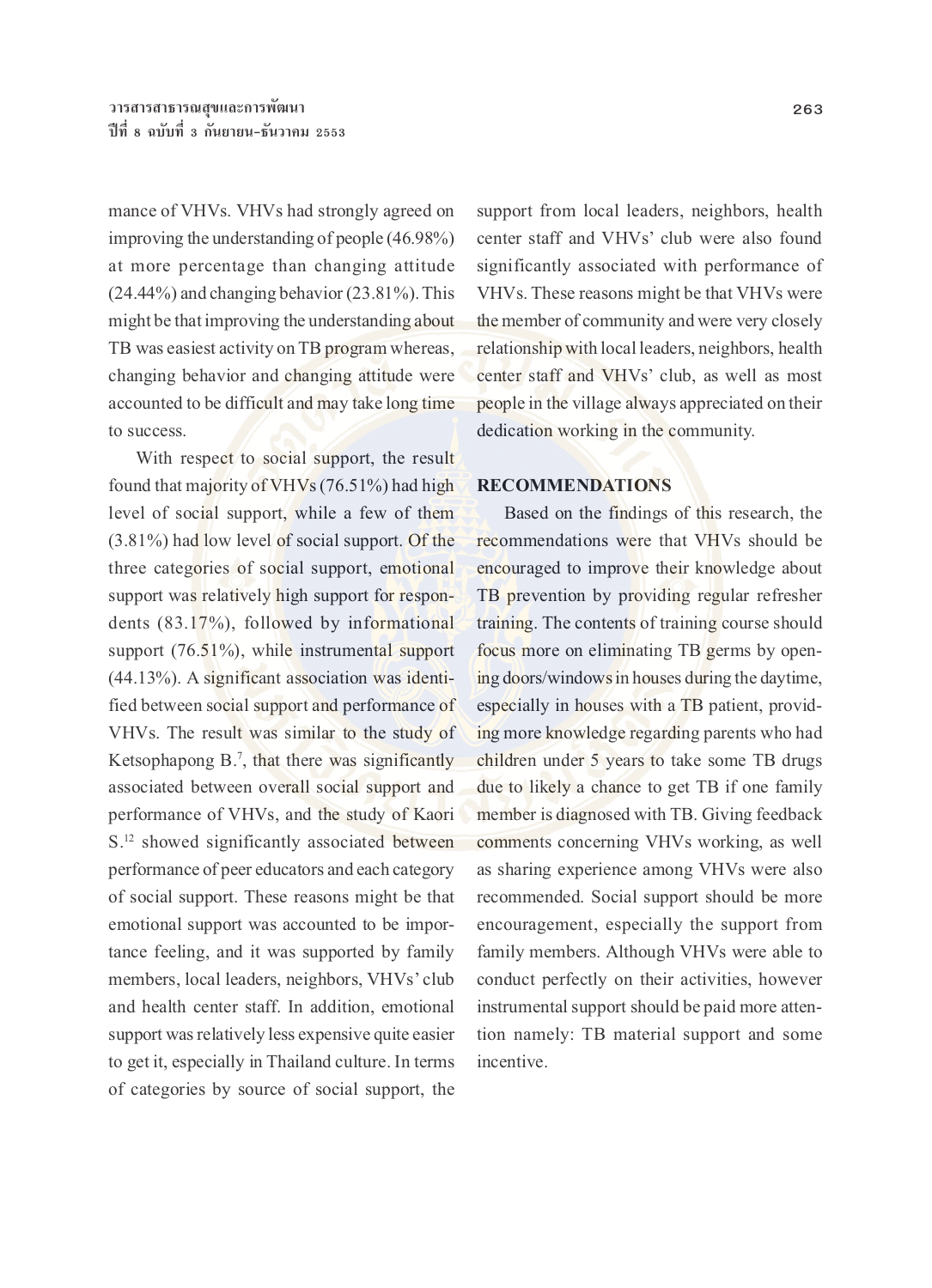mance of VHVs. VHVs had strongly agreed on improving the understanding of people (46.98%) at more percentage than changing attitude (24.44%) and changing behavior (23.81%). This might be that improving the understanding about TB was easiest activity on TB program whereas, changing behavior and changing attitude were accounted to be difficult and may take long time to success.

With respect to social support, the result found that majority of VHVs (76.51%) had high level of social support, while a few of them (3.81%) had low level of social support. Of the three categories of social support, emotional support was relatively high support for respondents (83.17%), followed by informational support (76.51%), while instrumental support (44.13%). A significant association was identified between social support and performance of VHVs. The result was similar to the study of Ketsophapong B.<sup>7</sup>, that there was significantly associated between overall social support and performance of VHVs, and the study of Kaori S.<sup>12</sup> showed significantly associated between performance of peer educators and each category of social support. These reasons might be that emotional support was accounted to be importance feeling, and it was supported by family members, local leaders, neighbors, VHVs' club and health center staff. In addition, emotional support was relatively less expensive quite easier to get it, especially in Thailand culture. In terms of categories by source of social support, the

support from local leaders, neighbors, health center staff and VHVs' club were also found significantly associated with performance of VHVs. These reasons might be that VHVs were the member of community and were very closely relationship with local leaders, neighbors, health center staff and VHVs' club, as well as most people in the village always appreciated on their dedication working in the community.

### **RECOMMENDATIONS**

Based on the findings of this research, the recommendations were that VHVs should be encouraged to improve their knowledge about TB prevention by providing regular refresher training. The contents of training course should focus more on eliminating TB germs by opening doors/windows in houses during the daytime, especially in houses with a TB patient, providing more knowledge regarding parents who had children under 5 years to take some TB drugs due to likely a chance to get TB if one family member is diagnosed with TB. Giving feedback comments concerning VHVs working, as well as sharing experience among VHVs were also recommended. Social support should be more encouragement, especially the support from family members. Although VHVs were able to conduct perfectly on their activities, however instrumental support should be paid more attention namely: TB material support and some incentive.